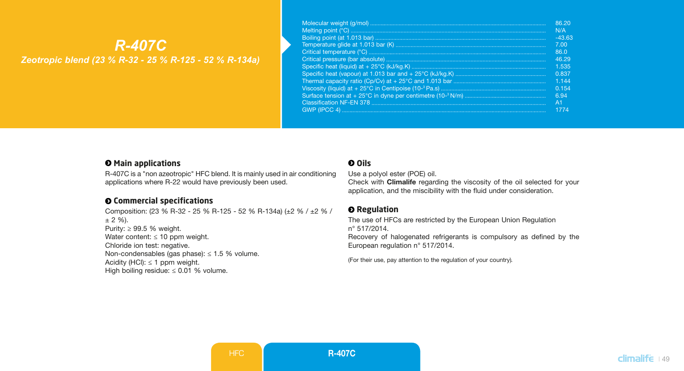# *R-407C Zeotropic blend (23 % R-32 - 25 % R-125 - 52 % R-134a)*

| 86.20          |
|----------------|
| N/A            |
| $-43.63$       |
| 7.00           |
| 86.0           |
| 46.29          |
| 1.535          |
| 0.837          |
| 1 1 4 4        |
| 0.154          |
| 6.94           |
| A <sub>1</sub> |
| 1774           |

#### $\Theta$  Main applications

R-407C is a "non azeotropic" HFC blend. It is mainly used in air conditioning applications where R-22 would have previously been used.

## **Commercial specifications**

Composition: (23 % R-32 - 25 % R-125 - 52 % R-134a) (±2 % / ±2 % /  $± 2 \%$ ). Purity: ≥ 99.5 % weight. Water content:  $\leq 10$  ppm weight. Chloride ion test: negative. Non-condensables (gas phase):  $\leq$  1.5 % volume. Acidity (HCl):  $\leq$  1 ppm weight. High boiling residue:  $\leq 0.01$  % volume.

### **Oils**

Use a polyol ester (POE) oil.

Check with Climalife regarding the viscosity of the oil selected for your application, and the miscibility with the fluid under consideration.

#### $Q$  Regulation

The use of HFCs are restricted by the European Union Regulation n° 517/2014.

Recovery of halogenated refrigerants is compulsory as defined by the European regulation n° 517/2014.

(For their use, pay attention to the regulation of your country)*.*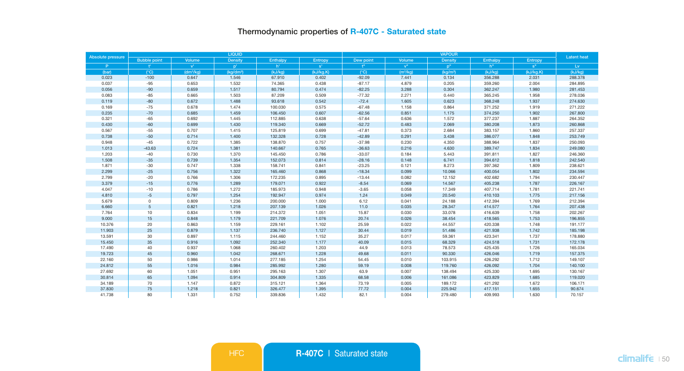# Thermodynamic properties of R-407C - Saturated state

| Absolute pressure |                     |                       | <b>LIQUID</b>         |          |           |                | <b>Latent heat</b>   |                      |          |                         |         |
|-------------------|---------------------|-----------------------|-----------------------|----------|-----------|----------------|----------------------|----------------------|----------|-------------------------|---------|
|                   | <b>Bubble point</b> | Volume                | <b>Density</b>        | Enthalpy | Entropy   | Dew point      | Volume               | Density              | Enthalpy | Entropy                 |         |
| P.                | Ŧ.                  | $V^{\text{L}}$        | $p^+$                 | h'.      | $s^*$     | t <sup>n</sup> | $V^{\text{II}}$      | p <sup>n</sup>       | $h$ "    | $\textbf{s}^{\text{m}}$ | Lv      |
| (bar)             | $(^{\circ}C)$       | (dm <sup>3</sup> /kg) | (kg/dm <sup>3</sup> ) | (kJ/kg)  | (kJ/kg.K) | $(^{\circ}C)$  | (m <sup>3</sup> /kg) | (kq/m <sup>3</sup> ) | (kJ/kg)  | (kJ/kg.K)               | (kJ/kg) |
| 0.023             | $-100$              | 0.647                 | 1.546                 | 67.910   | 0.402     | $-92.09$       | 7.441                | 0.134                | 356.288  | 2.031                   | 288.378 |
| 0.037             | $-95$               | 0.653                 | 1.532                 | 74.365   | 0.438     | $-87.17$       | 4,879                | 0.205                | 359.260  | 2.004                   | 284.895 |
| 0.056             | $-90$               | 0.659                 | 1.517                 | 80.794   | 0.474     | $-82.25$       | 3.288                | 0.304                | 362.247  | 1.980                   | 281.453 |
| 0.083             | $-85$               | 0.665                 | 1.503                 | 87.209   | 0.509     | $-77.32$       | 2.271                | 0.440                | 365.245  | 1.958                   | 278.036 |
| 0.119             | $-80$               | 0.672                 | 1.488                 | 93.618   | 0.542     | $-72.4$        | 1.605                | 0.623                | 368.248  | 1.937                   | 274.630 |
| 0.169             | $-75$               | 0.678                 | 1.474                 | 100.030  | 0.575     | $-67.48$       | 1.158                | 0.864                | 371.252  | 1.919                   | 271.222 |
| 0.235             | $-70$               | 0.685                 | 1.459                 | 106.450  | 0.607     | $-62.56$       | 0.851                | 1.175                | 374.250  | 1.902                   | 267.800 |
| 0.321             | $-65$               | 0.692                 | 1.445                 | 112.885  | 0.638     | $-57.64$       | 0.636                | 1.572                | 377.237  | 1.887                   | 264,352 |
| 0.430             | $-60$               | 0.699                 | 1.430                 | 119.340  | 0.669     | $-52.72$       | 0.483                | 2.069                | 380.208  | 1.873                   | 260.868 |
| 0.567             | $-55$               | 0.707                 | 1.415                 | 125.819  | 0.699     | $-47.81$       | 0.373                | 2.684                | 383.157  | 1.860                   | 257.337 |
| 0.738             | $-50$               | 0.714                 | 1.400                 | 132.328  | 0.728     | $-42.89$       | 0.291                | 3.438                | 386.077  | 1.848                   | 253.749 |
| 0.948             | $-45$               | 0.722                 | 1.385                 | 138.870  | 0.757     | $-37.98$       | 0.230                | 4.350                | 388.964  | 1.837                   | 250.093 |
| 1.013             | $-43.63$            | 0.724                 | 1.381                 | 140.667  | 0.765     | $-36.63$       | 0.216                | 4.630                | 389.747  | 1.834                   | 249.080 |
| 1.203             | $-40$               | 0.730                 | 1.370                 | 145.450  | 0.786     | $-33.07$       | 0.184                | 5.443                | 391.811  | 1.827                   | 246.360 |
| 1.508             | $-35$               | 0.739                 | 1.354                 | 152.073  | 0.814     | $-28.16$       | 0.148                | 6.741                | 394.612  | 1.818                   | 242.540 |
| 1.871             | $-30$               | 0.747                 | 1.338                 | 158.741  | 0.841     | $-23.25$       | 0.121                | 8.273                | 397.362  | 1.809                   | 238.621 |
| 2.299             | $-25$               | 0.756                 | 1.322                 | 165.460  | 0.868     | $-18.34$       | 0.099                | 10.066               | 400.054  | 1.802                   | 234,594 |
| 2.799             | $-20$               | 0.766                 | 1.306                 | 172.235  | 0.895     | $-13.44$       | 0.082                | 12.152               | 402.682  | 1.794                   | 230.447 |
| 3,379             | $-15$               | 0.776                 | 1.289                 | 179.071  | 0.922     | $-8.54$        | 0.069                | 14.567               | 405.238  | 1.787                   | 226,167 |
| 4.047             | $-10$               | 0.786                 | 1.272                 | 185.973  | 0.948     | $-3.65$        | 0.058                | 17.349               | 407.714  | 1.781                   | 221.741 |
| 4,810             | $-5$                | 0.797                 | 1.254                 | 192.947  | 0.974     | 1.24           | 0.049                | 20.540               | 410.103  | 1.775                   | 217,156 |
| 5.679             | $\mathbf 0$         | 0.809                 | 1.236                 | 200.000  | 1.000     | 6.12           | 0.041                | 24.188               | 412.394  | 1.769                   | 212.394 |
| 6,660             | 5                   | 0.821                 | 1.218                 | 207.139  | 1.026     | 11.0           | 0.035                | 28.347               | 414.577  | 1.764                   | 207,438 |
| 7.764             | 10                  | 0.834                 | 1.199                 | 214.372  | 1.051     | 15.87          | 0.030                | 33.078               | 416.639  | 1.758                   | 202.267 |
| 9,000             | 15                  | 0.848                 | 1.179                 | 221.709  | 1.076     | 20.74          | 0.026                | 38.454               | 418,565  | 1.753                   | 196,855 |
| 10.376            | 20                  | 0.863                 | 1.159                 | 229.161  | 1.102     | 25.59          | 0.022                | 44.557               | 420.338  | 1.748                   | 191.177 |
| 11,903            | 25                  | 0.879                 | 1.137                 | 236.740  | 1.127     | 30.44          | 0.019                | 51.486               | 421.938  | 1.742                   | 185,198 |
| 13.591            | 30                  | 0.897                 | 1.115                 | 244.460  | 1.152     | 35.27          | 0.017                | 59.361               | 423.341  | 1.737                   | 178.880 |
| 15,450            | 35                  | 0.916                 | 1.092                 | 252,340  | 1.177     | 40.09          | 0.015                | 68.329               | 424.518  | 1.731                   | 172.178 |
| 17.490            | 40                  | 0.937                 | 1.068                 | 260.402  | 1.203     | 44.9           | 0.013                | 78.573               | 425.435  | 1.726                   | 165.034 |
| 19,723            | 45                  | 0.960                 | 1.042                 | 268,671  | 1.228     | 49.68          | 0.011                | 90.330               | 426.046  | 1.719                   | 157,375 |
| 22.160            | 50                  | 0.986                 | 1.014                 | 277.185  | 1.254     | 54.45          | 0.010                | 103.915              | 426.292  | 1.712                   | 149.107 |
| 24.812            | 55                  | 1.016                 | 0.984                 | 285.992  | 1.280     | 59.19          | 0.008                | 119.760              | 426.092  | 1.704                   | 140.100 |
| 27.692            | 60                  | 1.051                 | 0.951                 | 295.163  | 1.307     | 63.9           | 0.007                | 138.494              | 425.330  | 1.695                   | 130.167 |
| 30.814            | 65                  | 1.094                 | 0.914                 | 304.809  | 1.335     | 68.58          | 0.006                | 161.086              | 423.829  | 1.685                   | 119.020 |
| 34.189            | 70                  | 1.147                 | 0.872                 | 315.121  | 1.364     | 73.19          | 0.005                | 189.172              | 421.292  | 1.672                   | 106.171 |
| 37.830            | 75                  | 1.218                 | 0.821                 | 326.477  | 1.395     | 77.72          | 0.004                | 225.942              | 417.151  | 1.655                   | 90.674  |
| 41.738            | 80                  | 1.331                 | 0.752                 | 339.836  | 1.432     | 82.1           | 0.004                | 279,480              | 409.993  | 1.630                   | 70.157  |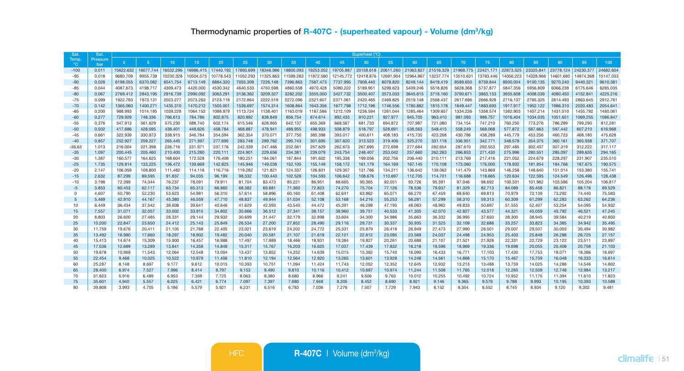| Sat.                  | Sat.                   | Superheat (°C) |                |           |           |           |           |           |           |           |           |           |           |           |           |           |           |           |           |           |           |           |
|-----------------------|------------------------|----------------|----------------|-----------|-----------|-----------|-----------|-----------|-----------|-----------|-----------|-----------|-----------|-----------|-----------|-----------|-----------|-----------|-----------|-----------|-----------|-----------|
| Temp.<br>$^{\circ}$ C | Pressure<br><b>bar</b> | $\mathbf{0}$   | 5 <sup>5</sup> | 10        | 15        | 20        | 25        | 30        | 35        | 40        | 45        | 50        | 55        | 60        | 65        | 70        | 75        | 80        | 85        | 90        | 95        | 100       |
| $-100$                | 0.011                  | 15622.632      | 16077.744      | 16532.296 | 16986.415 | 17440.192 | 17893.699 | 18346.986 | 18800.093 | 19253.052 | 19705.887 | 20158.618 | 20611.260 | 21063.827 | 21516.329 | 21968.775 | 22421.171 | 22873.525 | 23325.841 | 23778.124 | 24230.377 | 24682.604 |
| $-95$                 | 0.018                  | 9680,709       | 9955.739       | 10230.328 | 10504.573 | 10778.543 | 11052.293 | 11325.863 | 11599.283 | 11872.580 | 12145.772 | 12418.876 | 12691.904 | 12964.867 | 13237.774 | 13510.631 | 13783.446 | 14056.223 | 14328.966 | 14601.680 | 14874.368 | 15147.033 |
| $-90$                 | 0.028                  | 6198.055       | 6370.082       | 6541.754  | 6713.149  | 6884.320  | 7055.309  | 7226.148  | 7396.863  | 7567.473  | 7737.995  | 7908.440  | 8078.820  | 8249.144  | 8419.419  | 8589.650  | 8759.844  | 8930.004  | 9100.135  | 9270.240  | 9440.321  | 9610.381  |
| $-85$                 | 0.044                  | 4087.673       | 4198.717       | 4309.473  | 4420.000  | 4530.342  | 4640.533  | 4750.598  | 4860,558  | 4970.428  | 5080.222  | 5189.951  | 5299.623  | 5409.246  | 5518,826  | 5628,368  | 5737.877  | 5847,356  | 5956,809  | 6066.238  | 6175.646  | 6285.035  |
| $-80$                 | 0.067                  | 2769.412       | 2843.195       | 2916,739  | 2990.092  | 3063.291  | 3136,362  | 3209.327  | 3282.202  | 3355,000  | 3427,732  | 3500.407  | 3573.033  | 3645.615  | 3718,160  | 3790.671  | 3863.153  | 3935,608  | 4008.039  | 4080.450  | 4152.841  | 4225.216  |
| $-75$                 | 0.099                  | 1922.783       | 1973.131       | 2023.277  | 2073.263  | 2123.118  | 2172.864  | 2222.519  | 2272.096  | 2321.607  | 2371.061  | 2420.465  | 2469.825  | 2519.148  | 2568.437  | 2617.696  | 2666,928  | 2716.137  | 2765.325  | 2814.493  | 2863.645  | 2912.781  |
| $-70$                 | 0.142                  | 1365,060       | 1400.271       | 1435.310  | 1470.212  | 1505.001  | 1539.697  | 1574.314  | 1608.864  | 1643,356  | 1677.798  | 1712.196  | 1746,556  | 1780.882  | 1815.178  | 1849.447  | 1883.693  | 1917.917  | 1952.122  | 1986.310  | 2020.483  | 2054.641  |
| $-65$                 | 0.200                  | 988.993        | 1014.185       | 1039.228  | 1064.152  | 1088,979  | 1113,724  | 1138,401  | 1163.019  | 1187,586  | 1212.109  | 1236.594  | 1261.044  | 1285.464  | 1309.857  | 1334.226  | 1358.574  | 1382.903  | 1407.214  | 1431.510  | 1455.792  | 1480.061  |
| $-60$                 | 0.277                  | 729.929        | 748.336        | 766,613   | 784,786   | 802.875   | 820,892   | 838,849   | 856,754   | 874.614   | 892.435   | 910.221   | 927,977   | 945.705   | 963.410   | 981.093   | 998.757   | 1016,404  | 1034.035  | 1051.651  | 1069.255  | 1086.847  |
| $-55$                 | 0.376                  | 547.913        | 561.629        | 575,230   | 588,740   | 602.174   | 615.546   | 628.865   | 642.137   | 655,369   | 668,567   | 681.733   | 694.872   | 707.987   | 721.080   | 734.154   | 747.210   | 760,250   | 773,276   | 786,289   | 799.290   | 812.281   |
| $-50$                 | 0.502                  | 417.686        | 428.095        | 438,401   | 448.626   | 458,784   | 468,887   | 478.941   | 488,955   | 498,933   | 508,879   | 518,797   | 528,691   | 538,563   | 548,415   | 558,249   | 568,068   | 577,872   | 587,663   | 597.442   | 607,210   | 616,968   |
| $-45$                 | 0.661                  | 322.939        | 330.973        | 338,915   | 346,784   | 354,594   | 362.354   | 370.071   | 377,750   | 385,398   | 393,017   | 400.611   | 408.183   | 415.735   | 423.268   | 430.786   | 438,289   | 445,779   | 453.256   | 460.723   | 468.180   | 475.628   |
| $-40$                 | 0.857                  | 252,927        | 259,227        | 265.445   | 271.597   | 277,695   | 283.748   | 289,762   | 295,743   | 301.695   | 307,620   | 313.523   | 319,406   | 325,270   | 331.118   | 336,951   | 342,771   | 348,578   | 354.375   | 360,161   | 365,938   | 371,707   |
| $-36.63$              | 1.013                  | 216.004        | 221.398        | 226.716   | 231.971   | 237.176   | 242.339   | 247.466   | 252.561   | 257.629   | 262.673   | 267.695   | 272.698   | 277,684   | 282.654   | 287.610   | 292.553   | 297.485   | 302.407   | 307.319   | 312.222   | 317.117   |
| $-35$                 | 1.097                  | 200.445        | 205,460        | 210,400   | 215,280   | 220.111   | 224.901   | 229,656   | 234.381   | 239.079   | 243,754   | 248,407   | 253,042   | 257,660   | 262,263   | 266,853   | 271,430   | 275,996   | 280,551   | 285,097   | 289,635   | 294.165   |
| -30                   | 1.387                  | 160,577        | 164,625        | 168,604   | 172.528   | 176,408   | 180.251   | 184.061   | 187,844   | 191.602   | 195,338   | 199.056   | 202.756   | 206,440   | 210.111   | 213.769   | 217.416   | 221.052   | 224,679   | 228,297   | 231.907   | 235.510   |
| $-25$                 | 1.735                  | 129.914        | 133.225        | 136.472   | 139.669   | 142,825   | 145,946   | 149,038   | 152.105   | 155,149   | 158.172   | 161.179   | 164.169   | 167.145   | 170.108   | 173,060   | 176,000   | 178.932   | 181.854   | 184,768   | 187,675   | 190.575   |
| $-20$                 | 2.147                  | 106.059        | 108,800        | 111.482   | 114.118   | 116,716   | 119,282   | 121.821   | 124.337   | 126.831   | 129,307   | 131.766   | 134.211   | 136.642   | 139.062   | 141,470   | 143.869   | 146,258   | 148,640   | 151.014   | 153,380   | 155,741   |
| $-15$                 | 2.632                  | 87,299         | 89.595         | 91.837    | 94.035    | 96.199    | 98.332    | 100,440   | 102.526   | 104.593   | 106.642   | 108.676   | 110,697   | 112,705   | 114,701   | 116,688   | 118,665   | 120.634   | 122,595   | 124,549   | 126.496   | 128,438   |
| $-10$                 | 3.198                  | 72,399         | 74,344         | 76.237    | 78.091    | 79.911    | 81.704    | 83,473    | 85.221    | 86,951    | 88,665    | 90.365    | 92.051    | 93.726    | 95.391    | 97.046    | 98.692    | 100.331   | 101.962   | 103.586   | 105.204   | 106.817   |
| $-5$                  | 3.853                  | 60.453         | 62.117         | 63.734    | 65.313    | 66.860    | 68.382    | 69.881    | 71.360    | 72.823    | 74.270    | 75.704    | 77.126    | 78.536    | 79.937    | 81.329    | 82.713    | 84.089    | 85.458    | 86.821    | 88.178    | 89.529    |
| $^{\circ}$            | 4.607                  | 50,790         | 52,230         | 53.623    | 54.981    | 56,310    | 57.614    | 58,896    | 60.160    | 61,408    | 62.641    | 63.862    | 65.071    | 66,270    | 67.459    | 68,640    | 69.813    | 70.979    | 72.139    | 73.292    | 74,440    | 75,583    |
| $\overline{5}$        | 5.469                  | 42,910         | 44.167         | 45,380    | 46,559    | 47,710    | 48,837    | 49,944    | 51.034    | 52,108    | 53.168    | 54.216    | 55.253    | 56,281    | 57,299    | 58,310    | 59.313    | 60,309    | 61.299    | 62.283    | 63.262    | 64.236    |
| 10                    | 6.449                  | 36.434         | 37.542         | 38,608    | 39.641    | 40.646    | 41.629    | 42.593    | 43,540    | 44.472    | 45.391    | 46.298    | 47.195    | 48.083    | 48.962    | 49.833    | 50.697    | 51,555    | 52,407    | 53.254    | 54.095    | 54.932    |
| 15                    | 7.557                  | 31.071         | 32.057         | 33,002    | 33.915    | 34,802    | 35,666    | 36,512    | 37.341    | 38.157    | 38,960    | 39.751    | 40.533    | 41.305    | 42.070    | 42,827    | 43.577    | 44.321    | 45.059    | 45.792    | 46.521    | 47.245    |
| 20                    | 8,803                  | 26,600         | 27,485         | 28,331    | 29.144    | 29,932    | 30,699    | 31.447    | 32.179    | 32.898    | 33,604    | 34,300    | 34,986    | 35,663    | 36.332    | 36,995    | 37,650    | 38,300    | 38,945    | 39.584    | 40.219    | 40,850    |
| 25                    | 10,200                 | 22.847         | 23,650         | 24.412    | 25.143    | 25.849    | 26,534    | 27,200    | 27.852    | 28,490    | 29.116    | 29.731    | 30.337    | 30.935    | 31.525    | 32.109    | 32.686    | 33.257    | 33,823    | 34.385    | 34.942    | 35.495    |
| 30                    | 11.759                 | 19,676         | 20.411         | 21.105    | 21,768    | 22,405    | 23,021    | 23,619    | 24.202    | 24,772    | 25.331    | 25,879    | 26.418    | 26,949    | 27,473    | 27,990    | 28.501    | 29,007    | 29.507    | 30.003    | 30.494    | 30.982    |
| 35                    | 13,492                 | 16,980         | 17,660         | 18,297    | 18,902    | 19,482    | 20,040    | 20,581    | 21.107    | 21,619    | 22.121    | 22.612    | 23.095    | 23,569    | 24.037    | 24.498    | 24.953    | 25,403    | 25,848    | 26,288    | 26,725    | 27.157    |
| 40                    | 15.413                 | 14,674         | 15,309         | 15,900    | 16.457    | 16,988    | 17,497    | 17,989    | 18,466    | 18.931    | 19.384    | 19,827    | 20.261    | 20,688    | 21.107    | 21.521    | 21,928    | 22.331    | 22.729    | 23.122    | 23.511    | 23,897    |
| 45                    | 17,536                 | 12.689         | 13,289         | 13.841    | 14.358    | 14,848    | 15.317    | 15.767    | 16.203    | 16.625    | 17.037    | 17,439    | 17,832    | 18.218    | 18.596    | 18,969    | 19,336    | 19,698    | 20.055    | 20,408    | 20,758    | 21.103    |
| 50                    | 19,878                 | 10.969         | 11.543         | 12.064    | 12,548    | 13,004    | 13,437    | 13,852    | 14.252    | 14.639    | 15.015    | 15.382    | 15,740    | 16.090    | 16.433    | 16.771    | 17.103    | 17,430    | 17,753    | 18.071    | 18,386    | 18,697    |
| 55                    | 22,454                 | 9.468          | 10.025         | 10.522    | 10.979    | 11,406    | 11,810    | 12.194    | 12.564    | 12.920    | 13.265    | 13,601    | 13,928    | 14.248    | 14.561    | 14,868    | 15.170    | 15,467    | 15.759    | 16.048    | 16,333    | 16.614    |
| 60                    | 25.287                 | 8.148          | 8.697          | 9.177     | 9.612     | 10.015    | 10.393    | 10.751    | 11.094    | 11.424    | 11.743    | 12.052    | 12.352    | 12.645    | 12.932    | 13.213    | 13,488    | 13,759    | 14.025    | 14.288    | 14,546    | 14.802    |
| 65                    | 28,400                 | 6.974          | 7.527          | 7.996     | 8.414     | 8.797     | 9.153     | 9.490     | 9,810     | 10.116    | 10.412    | 10.697    | 10.974    | 11.244    | 11.508    | 11.765    | 12.018    | 12.265    | 12.509    | 12.748    | 12.984    | 13.217    |
| 70                    | 31,823                 | 5.916          | 6.489          | 6.953     | 7.359     | 7.725     | 8.063     | 8,380     | 8,680     | 8.966     | 9.241     | 9.506     | 9.763     | 10.012    | 10.255    | 10.492    | 10.724    | 10.952    | 11.175    | 11.394    | 11,610    | 11.823    |
| 75                    | 35,601                 | 4.940          | 5.557          | 6.025     | 6.421     | 6.774     | 7.097     | 7.397     | 7.680     | 7.948     | 8.205     | 8.452     | 8.690     | 8.921     | 9.146     | 9.365     | 9.579     | 9.788     | 9.993     | 10.195    | 10.393    | 10,588    |
| 80                    | 39,808                 | 3.993          | 4.705          | 5.186     | 5.579     | 5.921     | 6.231     | 6.516     | 6.783     | 7.036     | 7.276     | 7.507     | 7.729     | 7.943     | 8.152     | 8.354     | 8.552     | 8.745     | 8.934     | 9.120     | 9.302     | 9.481     |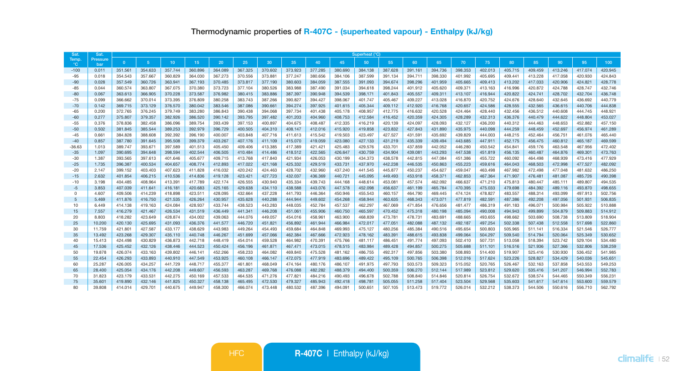| Sat            | Sat.             | Superheat (°C)     |                    |                    |                    |                    |                    |                    |                    |                    |                    |                    |                    |                    |                    |                    |                    |                    |                    |                    |                    |                    |
|----------------|------------------|--------------------|--------------------|--------------------|--------------------|--------------------|--------------------|--------------------|--------------------|--------------------|--------------------|--------------------|--------------------|--------------------|--------------------|--------------------|--------------------|--------------------|--------------------|--------------------|--------------------|--------------------|
| Temp.<br>°C.   | Pressure<br>bar  | $\overline{0}$     | 5 <sup>5</sup>     | 10                 | 15                 | 20                 | 25 <sub>1</sub>    | 30                 | 35                 | 40                 | 45                 | 50                 | 55                 | 60                 | 65                 | 70                 | 75                 | 80                 | 85                 | 90                 | 95                 | 100                |
| $-100$         | 0.011            | 351.561            | 354.633            | 357.744            | 360.896            | 364,089            | 367.325            | 370.602            | 373.923            | 377.285            | 380.690            | 384.138            | 387.628            | 391.161            | 394,736            | 398.353            | 402.013            | 405.715            | 409.459            | 413.246            | 417.074            | 420.945            |
| $-95$          | 0.018            | 354.543            | 357,667            | 360.829            | 364.030            | 367,273            | 370,556            | 373,881            | 377,247            | 380,656            | 384.106            | 387.599            | 391.134            | 394.711            | 398,330            | 401.992            | 405.695            | 409.441            | 413.228            | 417.058            | 420.930            | 424,843            |
| $-90$          | 0.028            | 357,549            | 360,726            | 363.941            | 367.193            | 370,485            | 373,817            | 377.190            | 380,603            | 384,059            | 387.555            | 391.093            | 394.674            | 398,296            | 401.959            | 405.665            | 409.413            | 413.202            | 417.033            | 420.906            | 424,821            | 428,778            |
| $-85$          | 0.044            | 360.574            | 363.807            | 367.075            | 370.380            | 373.723            | 377.104            | 380,526            | 383,988            | 387.490            | 391.034            | 394.618            | 398.244            | 401.912            | 405.620            | 409.371            | 413.163            | 416.996            | 420.872            | 424.788            | 428.747            | 432,746            |
| $-80$          | 0.067            | 363.613            | 366.905            | 370.228            | 373.587            | 376.982            | 380.415            | 383.886            | 387.397            | 390.948            | 394.539            | 398.171            | 401.843            | 405.557            | 409.311            | 413.107            | 416.944            | 420.822            | 424.741            | 428.702            | 432.704            | 436.748            |
| $-75$          | 0.099            | 366.662            | 370,014            | 373.395            | 376,809            | 380.258            | 383.743            | 387,266            | 390.827            | 394.427            | 398,067            | 401.747            | 405.467            | 409.227            | 413.028            | 416,870            | 420.752            | 424.676            | 428,640            | 432.645            | 436.692            | 440,779            |
| $-70$          | 0.142            | 369.715            | 373.129            | 376,570            | 380.042            | 383.546            | 387.086            | 390,661            | 394.274            | 397.925            | 401.615            | 405.344            | 409.112            | 412.920            | 416,768            | 420.657            | 424.586            | 428.555            | 432.565            | 436.615            | 440.706            | 444,838            |
| $-65$          | 0.200            | 372.765            | 376,245            | 379,749            | 383.280            | 386,843            | 390.438            | 394.068            | 397.734            | 401.438            | 405.178            | 408.957            | 412,775            | 416,632            | 420.528            | 424,464            | 428,440            | 432.456            | 436.512            | 440,608            | 444.745            | 448.921            |
| $-60$          | 0.277            | 375.807            | 379.357            | 382.926            | 386.520            | 390.142            | 393.795            | 397.482            | 401.203            | 404.960            | 408.753            | 412.584            | 416.452            | 420.359            | 424.305            | 428.289            | 432.313            | 436.376            | 440.479            | 444.622            | 448,804            | 453.027            |
| $-55$          | 0.376            | 378,836            | 382.458            | 386,096            | 389.754            | 393,439            | 397.153            | 400.897            | 404.675            | 408,487            | 412.335            | 416,219            | 420.139            | 424.097            | 428.093            | 432.127            | 436,200            | 440,312            | 444.463            | 448.653            | 452,882            | 457.150            |
| $-50$          | 0.502            | 381.845            | 385,544            | 389,253            | 392.979            | 396,729            | 400.505            | 404.310            | 408.147            | 412.016            | 415,920            | 419,858            | 423.832            | 427,843            | 431,890            | 435.975            | 440.098            | 444,259            | 448,459            | 452,697            | 456,974            | 461.289            |
| $-45$          | 0.661            | 384.828            | 388,608            | 392.392            | 396.190            | 400.007            | 403.848            | 407.716            | 411.613            | 415,542            | 419,503            | 423.497            | 427.527            | 431.591            | 435.692            | 439,829            | 444.003            | 448,215            | 452,464            | 456.751            | 461.076            | 465,440            |
| $-40$          | 0.857            | 387.780            | 391.645            | 395,508            | 399.379            | 403.267            | 407.176            | 411.109            | 415.070            | 419,059            | 423.080            | 427.133            | 431.219            | 435,339            | 439.494            | 443,685            | 447.911            | 452.175            | 456.475            | 460.812            | 465.187            | 469,599            |
| $-36.63$       | 1.013            | 389,747            | 393.671            | 397.589            | 401.513            | 405.450            | 409,406            | 413.385            | 417.389            | 421.421            | 425,483            | 429.576            | 433.701            | 437,859            | 442.052            | 446,280            | 450,542            | 454.841            | 459.176            | 463,548            | 467.956            | 472,402            |
| $-35$          | 1.097            | 390.695            | 394,648            | 398.594            | 402.544            | 406.505            | 410.484            | 414.486            | 418.512            | 422.565            | 426,647            | 430,759            | 434,904            | 439.081            | 443.293            | 447.538            | 451.819            | 456,135            | 460,487            | 464,876            | 469.301            | 473,763            |
| $-30$          | 1.387            | 393.565            | 397.613            | 401.646            | 405.677            | 409.715            | 413.768            | 417,840            | 421.934            | 426.053            | 430.199            | 434,373            | 438,578            | 442,815            | 447.084            | 451.386            | 455.722            | 460.092            | 464.498            | 468,939            | 473,416            | 477.929            |
| $-25$          | 1.735            | 396,387            | 400.534            | 404.657            | 408.774            | 412,893            | 417.022            | 421.168            | 425.332            | 429,519            | 433.731            | 437,970            | 442,238            | 446,535            | 450.863            | 455,223            | 459,616            | 464.043            | 468.503            | 472.998            | 477.527            | 482.092            |
| $-20$          | 2.147            | 399.152            | 403.403            | 407.623            | 411.828            | 416.032            | 420.242            | 424.463            | 428.702            | 432.960            | 437.240            | 441.545            | 445.877            | 450.237            | 454.627            | 459.047            | 463.498            | 467.982            | 472.498            | 477.048            | 481.632            | 486.250            |
| $-15$          | 2.632            | 401.854            | 406.215            | 410.536            | 414.836            | 419,128            | 423.421            | 427.723            | 432.037            | 436,369            | 440.721            | 445.095            | 449,493            | 453,918            | 458,371            | 462,853            | 467.364            | 471.907            | 476,481            | 481.087            | 485,726            | 490.398            |
| $-10$          | 3.198            | 404.485            | 408.964            | 413.391            | 417.789            | 422.174            | 426.555            | 430,940            | 435.334            | 439.743            | 444.168            | 448.614            | 453,081            | 457.574            | 462.092            | 466,637            | 471.210            | 475.813            | 480,447            | 485.111            | 489,807            | 494.535            |
| $-5$           | 3.853            | 407.039            | 411.641            | 416.181            | 420.683            | 425.165            | 429,638            | 434.110            | 438,588            | 443.076            | 447.578            | 452.098            | 456.637            | 461.199            | 465.784            | 470.395            | 475.033            | 479.698            | 484.392            | 489.116            | 493,870            | 498.655            |
| $^{\circ}$     | 4.607            | 409.506            | 414.239            | 418.898            | 423.511            | 428.095            | 432.664            | 437.228            | 441.793            | 446.364            | 450.946            | 455.543            | 460.157            | 464.790            | 469.445            | 474.124            | 478.827            | 483.557            | 488.314            | 493.099            | 497.913            | 502.756            |
| $\overline{5}$ | 5.469            | 411.876            | 416,750            | 421.535            | 426.264            | 430.957            | 435.628            | 440.288            | 444,944            | 449,602            | 454,268            | 458,944            | 463.635            | 468,343            | 473.071            | 477,819            | 482.591            | 487,386            | 492.208            | 497.056            | 501.931            | 506,835            |
| 10             | 6.449            | 414.138            | 419.163            | 424.084            | 428.937            | 433.744            | 438.523            | 443.283            | 448.035            | 452.784            | 457.537            | 462.297            | 467.069            | 471.854            | 476.656            | 481.477            | 486.319            | 491.183            | 496.071            | 500.984            | 505.922            | 510,888            |
| 15             | 7.557            | 416.279            | 421.467            | 426.534            | 431.519            | 436,449            | 441.341            | 446,208            | 451.061            | 455,906            | 460.750            | 465.597            | 470.452            | 475,318            | 480.198            | 485,094            | 490.008            | 494.943            | 499.899            | 504.879            | 509,883            | 514.912            |
| 20             | 8,803            | 418.282            | 423.649            | 428.874            | 434.002            | 439.063            | 444.076            | 449.057            | 454.016            | 458,961            | 463,900            | 468.839            | 473.781            | 478.731            | 483.691            | 488.665            | 493.655            | 498.662            | 503,690            | 508,738            | 513.809            | 518.904            |
| 25             | 10,200           | 420.130            | 425.695            | 431.093            | 436.376            | 441.577            | 446,720            | 451.821            | 456.892            | 461.944            | 466,984            | 472.017            | 477.051            | 482,088            | 487.132            | 492.187            | 497.254            | 502.338            | 507,438            | 512,558            | 517,698            | 522,860            |
| 30             | 11.759           | 421.801            | 427.587            | 433.177            | 438.629            | 443.983            | 449.264            | 454,493            | 459.684            | 464,848            | 469.993            | 475.127            | 480.256            | 485,384            | 490.516            | 495.654            | 500,803            | 505.965            | 511.141            | 516,334            | 521.546            | 526,777            |
| 35<br>40       | 13.492           | 423.268            | 429,307            | 435.110<br>436,873 | 440.748<br>442.718 | 446.267            | 451.699            | 457,066<br>459,528 | 462,384            | 467,666            | 472.923<br>475.766 | 478.162            | 483.391<br>486,451 | 488,615<br>491.774 | 493,838            | 499,064            | 504.297<br>507.731 | 509,540            | 514,794            | 520.064<br>523.742 | 525.349            | 530.652<br>534,480 |
|                | 15.413           | 424.498<br>425.452 | 430.829<br>432.126 | 438,446            | 444.523            | 448,419<br>450,424 | 454.014<br>456,196 | 461.871            | 464.982<br>467,471 | 470.391<br>473,015 | 478.515            | 481.117            | 489,428            | 494,857            | 497.093<br>500,275 | 502,410<br>505,688 |                    | 513.058<br>516,516 | 518,394<br>521.936 | 527,366            | 529.104<br>532,806 | 538,259            |
| 45<br>50       | 17,536<br>19,878 | 426.074            | 433.163            | 439.802            | 446.141            | 452.266            | 458,233            | 464.082            | 469,840            | 475.528            | 481.162            | 483.984<br>486,755 | 492.317            | 497,856            | 503,380            | 508,893            | 511.101<br>514,400 | 519,907            | 525.416            | 530.930            | 536,452            | 541.985            |
|                |                  |                    |                    |                    | 447.549            |                    |                    |                    |                    |                    |                    |                    |                    | 500,765            |                    |                    |                    |                    |                    |                    |                    | 545.651            |
| 55             | 22,454           | 426.293            | 433.893            | 440.910            |                    | 453.925            | 460.108            | 466.147            | 472.075            | 477.919            | 483.696            | 489.422            | 495.109            |                    | 506,398            | 512.016            | 517.624            | 523.226            | 528.827            | 534,429            | 540.036            |                    |
| 60             | 25.287           | 426.005<br>425.054 | 434.257            | 441.729<br>442,208 | 448.717<br>449.607 | 455.377<br>456,593 | 461.801<br>463.287 | 468.049<br>469,768 | 474.164<br>476,088 | 480.176<br>482.282 | 486.107<br>488,379 | 491.975<br>494,400 | 497.793<br>500,359 | 503.573<br>506,270 | 509.323            | 515.052<br>517,989 | 520.765<br>523,812 | 526,467<br>529,620 | 532.163<br>535,416 | 537.858<br>541.207 | 543.553<br>546,994 | 549.253<br>552,783 |
| 65             | 28,400           |                    | 434.176            |                    |                    |                    |                    |                    |                    |                    |                    |                    |                    |                    | 512.144            |                    |                    |                    |                    |                    |                    |                    |
| 70             | 31,823           | 423.179            | 433.531            | 442.275            | 450.169            | 457.533            | 464.535            | 471.276            | 477.821            | 484.216<br>485,943 | 490.493            | 496,678            | 502.788            | 508,840            | 514,846            | 520,814            | 526,754            | 532.672            | 538,574            | 544.465            | 550,349            | 556,231<br>559,579 |
| 75             | 35,601           | 419.890            | 432.146            | 441.825            | 450.327            | 458.138            | 465.495            | 472.530            | 479.327            |                    | 492.418            | 498.781            | 505.055            | 511.258            | 517.404            | 523.504            | 529,568            | 535.603            | 541.617            | 547.614            | 553.600            |                    |
| 80             | 39,808           | 414.014            | 429.701            | 440.675            | 449.947            | 458.300            | 466.074            | 473.448            | 480.532            | 487.396            | 494.091            | 500.651            | 507.105            | 513.473            | 519.772            | 526.014            | 532.212            | 538.373            | 544.506            | 550.616            | 556.710            | 562.792            |